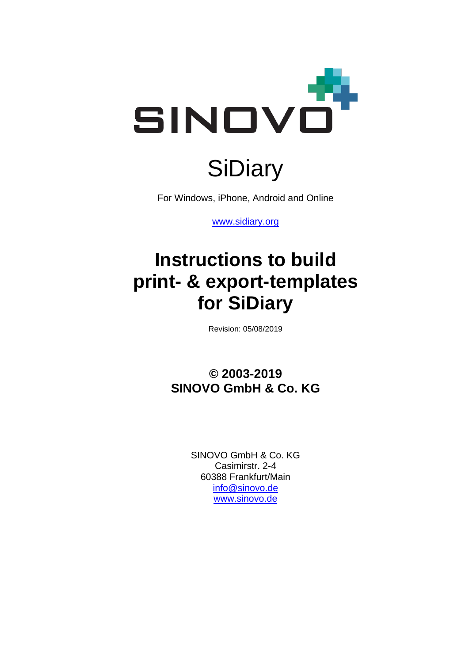

# **SiDiary**

For Windows, iPhone, Android and Online

[www.sidiary.org](https://www.sidiary.org/)

## **Instructions to build print- & export-templates for SiDiary**

Revision: 05/08/2019

**© 2003-2019 SINOVO GmbH & Co. KG**

> SINOVO GmbH & Co. KG Casimirstr. 2-4 60388 Frankfurt/Main [info@sinovo.de](mailto:info@sinovo.de) [www.sinovo.de](https://sinovo.de/de/)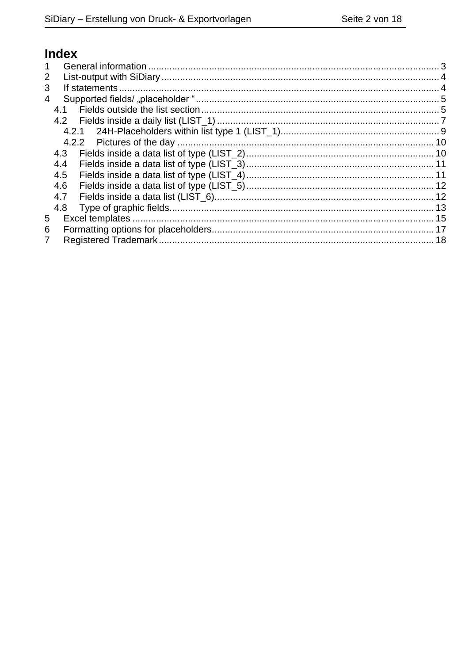## Index

| 1 |     |  |
|---|-----|--|
| 2 |     |  |
| 3 |     |  |
| 4 |     |  |
|   | 4.1 |  |
|   |     |  |
|   |     |  |
|   |     |  |
|   | 4.3 |  |
|   | 4.4 |  |
|   | 4.5 |  |
|   | 4.6 |  |
|   | 4.7 |  |
|   | 4.8 |  |
| 5 |     |  |
| 6 |     |  |
|   |     |  |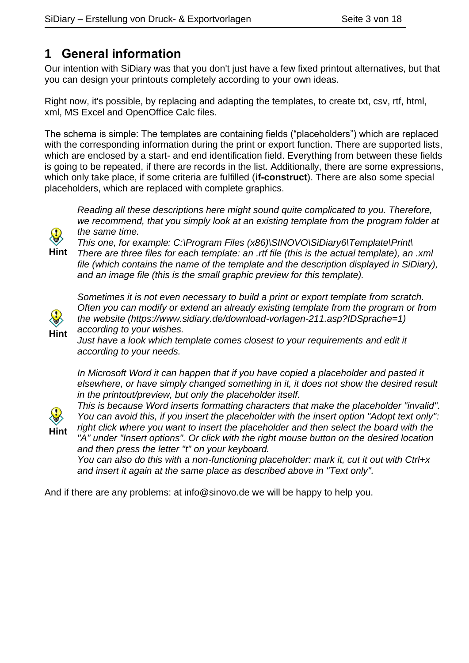## <span id="page-2-0"></span>**1 General information**

Our intention with SiDiary was that you don't just have a few fixed printout alternatives, but that you can design your printouts completely according to your own ideas.

Right now, it's possible, by replacing and adapting the templates, to create txt, csv, rtf, html, xml, MS Excel and OpenOffice Calc files.

The schema is simple: The templates are containing fields ("placeholders") which are replaced with the corresponding information during the print or export function. There are supported lists, which are enclosed by a start- and end identification field. Everything from between these fields is going to be repeated, if there are records in the list. Additionally, there are some expressions, which only take place, if some criteria are fulfilled (**if-construct**). There are also some special placeholders, which are replaced with complete graphics.

*Reading all these descriptions here might sound quite complicated to you. Therefore, we recommend, that you simply look at an existing template from the program folder at the same time.* 

*This one, for example: C:\Program Files (x86)\SINOVO\SiDiary6\Template\Print\*

**Hint** *There are three files for each template: an .rtf file (this is the actual template), an .xml file (which contains the name of the template and the description displayed in SiDiary), and an image file (this is the small graphic preview for this template).*



*Sometimes it is not even necessary to build a print or export template from scratch. Often you can modify or extend an already existing template from the program or from the website (https://www.sidiary.de/download-vorlagen-211.asp?IDSprache=1) according to your wishes.*

*Just have a look which template comes closest to your requirements and edit it according to your needs.*

In Microsoft Word it can happen that if you have copied a placeholder and pasted it *elsewhere, or have simply changed something in it, it does not show the desired result in the printout/preview, but only the placeholder itself.*

**Hint**

*This is because Word inserts formatting characters that make the placeholder "invalid". You can avoid this, if you insert the placeholder with the insert option "Adopt text only": right click where you want to insert the placeholder and then select the board with the "A" under "Insert options". Or click with the right mouse button on the desired location* 

*and then press the letter "t" on your keyboard.*

*You can also do this with a non-functioning placeholder: mark it, cut it out with Ctrl+x and insert it again at the same place as described above in "Text only".*

And if there are any problems: at info@sinovo.de we will be happy to help you.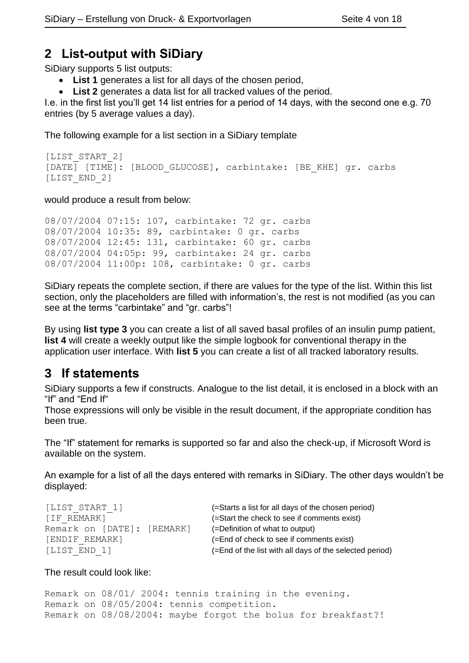#### <span id="page-3-0"></span>**2 List-output with SiDiary**

SiDiary supports 5 list outputs:

• **List 1** generates a list for all days of the chosen period,

• **List 2** generates a data list for all tracked values of the period.

I.e. in the first list you'll get 14 list entries for a period of 14 days, with the second one e.g. 70 entries (by 5 average values a day).

The following example for a list section in a SiDiary template

```
[LIST_START_2]
[DATE] [TIME]: [BLOOD GLUCOSE], carbintake: [BE KHE] gr. carbs
[LIST_END_2]
```
would produce a result from below:

```
08/07/2004 07:15: 107, carbintake: 72 gr. carbs
08/07/2004 10:35: 89, carbintake: 0 gr. carbs
08/07/2004 12:45: 131, carbintake: 60 gr. carbs
08/07/2004 04:05p: 99, carbintake: 24 gr. carbs
08/07/2004 11:00p: 108, carbintake: 0 gr. carbs
```
SiDiary repeats the complete section, if there are values for the type of the list. Within this list section, only the placeholders are filled with information's, the rest is not modified (as you can see at the terms "carbintake" and "gr. carbs"!

By using **list type 3** you can create a list of all saved basal profiles of an insulin pump patient, **list 4** will create a weekly output like the simple logbook for conventional therapy in the application user interface. With **list 5** you can create a list of all tracked laboratory results.

## <span id="page-3-1"></span>**3 If statements**

SiDiary supports a few if constructs. Analogue to the list detail, it is enclosed in a block with an "If" and "End If"

Those expressions will only be visible in the result document, if the appropriate condition has been true.

The "If" statement for remarks is supported so far and also the check-up, if Microsoft Word is available on the system.

An example for a list of all the days entered with remarks in SiDiary. The other days wouldn't be displayed:

| [LIST START 1]             | (=Starts a list for all days of the chosen period)      |
|----------------------------|---------------------------------------------------------|
| [IF REMARK]                | (=Start the check to see if comments exist)             |
| Remark on [DATE]: [REMARK] | (=Definition of what to output)                         |
| [ENDIF REMARK]             | (=End of check to see if comments exist)                |
| [LIST END 1]               | (=End of the list with all days of the selected period) |
|                            |                                                         |

#### The result could look like:

Remark on 08/01/ 2004: tennis training in the evening. Remark on 08/05/2004: tennis competition. Remark on 08/08/2004: maybe forgot the bolus for breakfast?!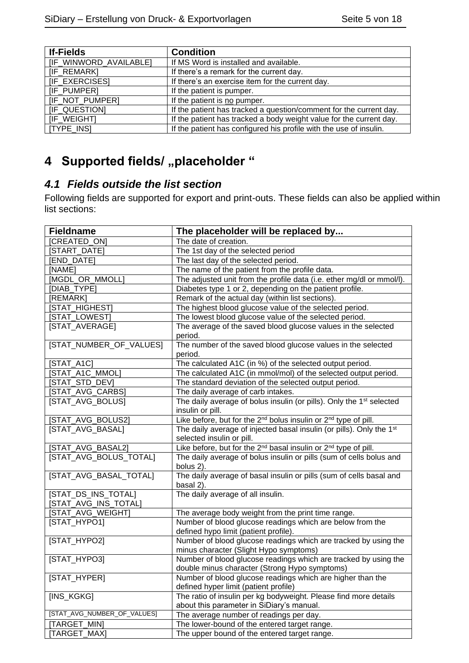| <b>If-Fields</b>       | <b>Condition</b>                                                    |  |  |  |  |  |
|------------------------|---------------------------------------------------------------------|--|--|--|--|--|
| [IF_WINWORD_AVAILABLE] | If MS Word is installed and available.                              |  |  |  |  |  |
| <b>IF REMARKI</b>      | If there's a remark for the current day.                            |  |  |  |  |  |
| <b>IF EXERCISES</b>    | If there's an exercise item for the current day.                    |  |  |  |  |  |
| [IF_PUMPER]            | If the patient is pumper.                                           |  |  |  |  |  |
| [IF_NOT_PUMPER]        | If the patient is no pumper.                                        |  |  |  |  |  |
| [IF QUESTION]          | If the patient has tracked a question/comment for the current day.  |  |  |  |  |  |
| [IF WEIGHT]            | If the patient has tracked a body weight value for the current day. |  |  |  |  |  |
| [TYPE_INS]             | If the patient has configured his profile with the use of insulin.  |  |  |  |  |  |

## <span id="page-4-0"></span>**4** Supported fields/ "placeholder "

#### <span id="page-4-1"></span>*4.1 Fields outside the list section*

Following fields are supported for export and print-outs. These fields can also be applied within list sections:

| <b>Fieldname</b>            | The placeholder will be replaced by                                                                      |  |  |  |  |  |  |
|-----------------------------|----------------------------------------------------------------------------------------------------------|--|--|--|--|--|--|
| [CREATED_ON]                | The date of creation.                                                                                    |  |  |  |  |  |  |
| <b>[START DATE]</b>         | The 1st day of the selected period                                                                       |  |  |  |  |  |  |
| [END_DATE]                  | The last day of the selected period.                                                                     |  |  |  |  |  |  |
| [NAME]                      | The name of the patient from the profile data.                                                           |  |  |  |  |  |  |
| [MGDL_OR_MMOLL]             | The adjusted unit from the profile data (i.e. ether mg/dl or mmol/l).                                    |  |  |  |  |  |  |
| [DIAB_TYPE]                 | Diabetes type 1 or 2, depending on the patient profile.                                                  |  |  |  |  |  |  |
| [REMARK]                    | Remark of the actual day (within list sections).                                                         |  |  |  |  |  |  |
| [STAT_HIGHEST]              | The highest blood glucose value of the selected period.                                                  |  |  |  |  |  |  |
| [STAT_LOWEST]               | The lowest blood glucose value of the selected period.                                                   |  |  |  |  |  |  |
| [STAT_AVERAGE]              | The average of the saved blood glucose values in the selected                                            |  |  |  |  |  |  |
|                             | period.                                                                                                  |  |  |  |  |  |  |
| [STAT_NUMBER_OF_VALUES]     | The number of the saved blood glucose values in the selected                                             |  |  |  |  |  |  |
|                             | period.                                                                                                  |  |  |  |  |  |  |
| $[STAT_A1C]$                | The calculated A1C (in %) of the selected output period.                                                 |  |  |  |  |  |  |
| [STAT_A1C_MMOL]             | The calculated A1C (in mmol/mol) of the selected output period.                                          |  |  |  |  |  |  |
| [STAT_STD_DEV]              | The standard deviation of the selected output period.                                                    |  |  |  |  |  |  |
| [STAT_AVG_CARBS]            | The daily average of carb intakes.                                                                       |  |  |  |  |  |  |
| [STAT_AVG_BOLUS]            | The daily average of bolus insulin (or pills). Only the 1 <sup>st</sup> selected                         |  |  |  |  |  |  |
|                             | insulin or pill.                                                                                         |  |  |  |  |  |  |
| [STAT_AVG_BOLUS2]           | Like before, but for the 2 <sup>nd</sup> bolus insulin or 2 <sup>nd</sup> type of pill.                  |  |  |  |  |  |  |
| [STAT_AVG_BASAL]            | The daily average of injected basal insulin (or pills). Only the 1 <sup>st</sup>                         |  |  |  |  |  |  |
|                             | selected insulin or pill.                                                                                |  |  |  |  |  |  |
| [STAT_AVG_BASAL2]           | Like before, but for the 2 <sup>nd</sup> basal insulin or 2 <sup>nd</sup> type of pill.                  |  |  |  |  |  |  |
| [STAT_AVG_BOLUS_TOTAL]      | The daily average of bolus insulin or pills (sum of cells bolus and                                      |  |  |  |  |  |  |
|                             | bolus 2).                                                                                                |  |  |  |  |  |  |
| [STAT_AVG_BASAL_TOTAL]      | The daily average of basal insulin or pills (sum of cells basal and<br>basal 2).                         |  |  |  |  |  |  |
| [STAT_DS_INS_TOTAL]         | The daily average of all insulin.                                                                        |  |  |  |  |  |  |
| [STAT_AVG_INS_TOTAL]        |                                                                                                          |  |  |  |  |  |  |
| [STAT_AVG_WEIGHT]           | The average body weight from the print time range.                                                       |  |  |  |  |  |  |
| [STAT_HYPO1]                | Number of blood glucose readings which are below from the                                                |  |  |  |  |  |  |
| [STAT_HYPO2]                | defined hypo limit (patient profile).<br>Number of blood glucose readings which are tracked by using the |  |  |  |  |  |  |
|                             | minus character (Slight Hypo symptoms)                                                                   |  |  |  |  |  |  |
| [STAT_HYPO3]                | Number of blood glucose readings which are tracked by using the                                          |  |  |  |  |  |  |
|                             | double minus character (Strong Hypo symptoms)                                                            |  |  |  |  |  |  |
| [STAT_HYPER]                | Number of blood glucose readings which are higher than the                                               |  |  |  |  |  |  |
|                             | defined hyper limit (patient profile)                                                                    |  |  |  |  |  |  |
| [INS_KGKG]                  | The ratio of insulin per kg bodyweight. Please find more details                                         |  |  |  |  |  |  |
|                             | about this parameter in SiDiary's manual.                                                                |  |  |  |  |  |  |
| [STAT_AVG_NUMBER_OF_VALUES] | The average number of readings per day.                                                                  |  |  |  |  |  |  |
| [TARGET_MIN]                | The lower-bound of the entered target range.                                                             |  |  |  |  |  |  |
| [TARGET_MAX]                | The upper bound of the entered target range.                                                             |  |  |  |  |  |  |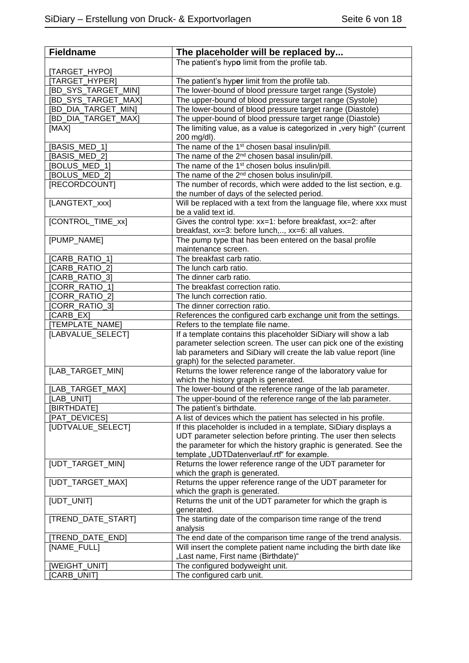| <b>Fieldname</b>           | The placeholder will be replaced by                                                                              |  |  |  |  |  |  |
|----------------------------|------------------------------------------------------------------------------------------------------------------|--|--|--|--|--|--|
|                            | The patient's hypo limit from the profile tab.                                                                   |  |  |  |  |  |  |
| [TARGET_HYPO]              |                                                                                                                  |  |  |  |  |  |  |
| [TARGET_HYPER]             | The patient's hyper limit from the profile tab.                                                                  |  |  |  |  |  |  |
| <b>IBD SYS TARGET MINI</b> | The lower-bound of blood pressure target range (Systole)                                                         |  |  |  |  |  |  |
| [BD_SYS_TARGET_MAX]        | The upper-bound of blood pressure target range (Systole)                                                         |  |  |  |  |  |  |
| [BD_DIA_TARGET_MIN]        | The lower-bound of blood pressure target range (Diastole)                                                        |  |  |  |  |  |  |
| <b>BD_DIA_TARGET_MAX]</b>  | The upper-bound of blood pressure target range (Diastole)                                                        |  |  |  |  |  |  |
| [MAX]                      | The limiting value, as a value is categorized in "very high" (current<br>200 mg/dl).                             |  |  |  |  |  |  |
| [BASIS_MED_1]              | The name of the 1 <sup>st</sup> chosen basal insulin/pill.                                                       |  |  |  |  |  |  |
| [BASIS_MED_2]              | The name of the 2 <sup>nd</sup> chosen basal insulin/pill.                                                       |  |  |  |  |  |  |
| [BOLUS_MED_1]              | The name of the 1 <sup>st</sup> chosen bolus insulin/pill.                                                       |  |  |  |  |  |  |
| [BOLUS_MED_2]              | The name of the 2 <sup>nd</sup> chosen bolus insulin/pill.                                                       |  |  |  |  |  |  |
| [RECORDCOUNT]              | The number of records, which were added to the list section, e.g.<br>the number of days of the selected period.  |  |  |  |  |  |  |
| [LANGTEXT_xxx]             | Will be replaced with a text from the language file, where xxx must<br>be a valid text id.                       |  |  |  |  |  |  |
| [CONTROL_TIME_xx]          | Gives the control type: xx=1: before breakfast, xx=2: after<br>breakfast, xx=3: before lunch,, xx=6: all values. |  |  |  |  |  |  |
| [PUMP_NAME]                | The pump type that has been entered on the basal profile<br>maintenance screen.                                  |  |  |  |  |  |  |
| [CARB RATIO 1]             | The breakfast carb ratio.                                                                                        |  |  |  |  |  |  |
| [CARB RATIO 2]             | The lunch carb ratio.                                                                                            |  |  |  |  |  |  |
| CARB_RATIO_3]              | The dinner carb ratio.                                                                                           |  |  |  |  |  |  |
| [CORR_RATIO_1]             | The breakfast correction ratio.                                                                                  |  |  |  |  |  |  |
| [CORR_RATIO_2]             | The lunch correction ratio.                                                                                      |  |  |  |  |  |  |
| [CORR_RATIO_3]             | The dinner correction ratio.                                                                                     |  |  |  |  |  |  |
| [CARB_EX]                  | References the configured carb exchange unit from the settings.                                                  |  |  |  |  |  |  |
| [TEMPLATE_NAME]            | Refers to the template file name.                                                                                |  |  |  |  |  |  |
| [LABVALUE_SELECT]          | If a template contains this placeholder SiDiary will show a lab                                                  |  |  |  |  |  |  |
|                            | parameter selection screen. The user can pick one of the existing                                                |  |  |  |  |  |  |
|                            | lab parameters and SiDiary will create the lab value report (line                                                |  |  |  |  |  |  |
|                            | graph) for the selected parameter.                                                                               |  |  |  |  |  |  |
| [LAB_TARGET_MIN]           | Returns the lower reference range of the laboratory value for                                                    |  |  |  |  |  |  |
| [LAB TARGET MAX]           | which the history graph is generated.                                                                            |  |  |  |  |  |  |
| [LAB_UNIT]                 | The lower-bound of the reference range of the lab parameter.                                                     |  |  |  |  |  |  |
| [BIRTHDATE]                | The upper-bound of the reference range of the lab parameter.<br>The patient's birthdate.                         |  |  |  |  |  |  |
| [PAT_DEVICES]              | A list of devices which the patient has selected in his profile.                                                 |  |  |  |  |  |  |
| [UDTVALUE_SELECT]          | If this placeholder is included in a template, SiDiary displays a                                                |  |  |  |  |  |  |
|                            | UDT parameter selection before printing. The user then selects                                                   |  |  |  |  |  |  |
|                            | the parameter for which the history graphic is generated. See the                                                |  |  |  |  |  |  |
|                            | template "UDTDatenverlauf.rtf" for example.                                                                      |  |  |  |  |  |  |
| [UDT_TARGET_MIN]           | Returns the lower reference range of the UDT parameter for<br>which the graph is generated.                      |  |  |  |  |  |  |
| [UDT_TARGET_MAX]           | Returns the upper reference range of the UDT parameter for                                                       |  |  |  |  |  |  |
|                            | which the graph is generated.                                                                                    |  |  |  |  |  |  |
| [UDT_UNIT]                 | Returns the unit of the UDT parameter for which the graph is<br>generated.                                       |  |  |  |  |  |  |
| [TREND_DATE_START]         | The starting date of the comparison time range of the trend<br>analysis                                          |  |  |  |  |  |  |
| [TREND_DATE_END]           | The end date of the comparison time range of the trend analysis.                                                 |  |  |  |  |  |  |
| [NAME_FULL]                | Will insert the complete patient name including the birth date like<br>"Last name, First name (Birthdate)"       |  |  |  |  |  |  |
| [WEIGHT_UNIT]              | The configured bodyweight unit.                                                                                  |  |  |  |  |  |  |
| CARB_UNIT]                 | The configured carb unit.                                                                                        |  |  |  |  |  |  |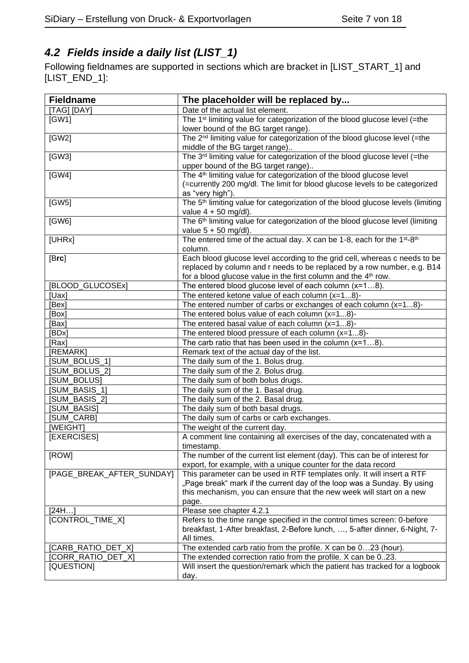## <span id="page-6-0"></span>*4.2 Fields inside a daily list (LIST\_1)*

Following fieldnames are supported in sections which are bracket in [LIST\_START\_1] and [LIST\_END\_1]:

| <b>Fieldname</b>          | The placeholder will be replaced by                                                                             |
|---------------------------|-----------------------------------------------------------------------------------------------------------------|
| [TAG] [DAY]               | Date of the actual list element.                                                                                |
| [GW1]                     | The 1 <sup>st</sup> limiting value for categorization of the blood glucose level (=the                          |
|                           | lower bound of the BG target range).                                                                            |
| [GW2]                     | The 2 <sup>nd</sup> limiting value for categorization of the blood glucose level (=the                          |
|                           | middle of the BG target range)                                                                                  |
| [GW3]                     | The 3 <sup>rd</sup> limiting value for categorization of the blood glucose level (=the                          |
|                           | upper bound of the BG target range)                                                                             |
| [GW4]                     | The 4 <sup>th</sup> limiting value for categorization of the blood glucose level                                |
|                           | (=currently 200 mg/dl. The limit for blood glucose levels to be categorized                                     |
|                           | as "very high").                                                                                                |
| [GW5]                     | The 5 <sup>th</sup> limiting value for categorization of the blood glucose levels (limiting                     |
|                           | value $4 + 50$ mg/dl).                                                                                          |
| [GW6]                     | The 6 <sup>th</sup> limiting value for categorization of the blood glucose level (limiting                      |
|                           | value $5 + 50$ mg/dl).                                                                                          |
| [UHRx]                    | The entered time of the actual day. X can be 1-8, each for the 1 <sup>st</sup> -8 <sup>th</sup>                 |
|                           | column.                                                                                                         |
| [Brc]                     | Each blood glucose level according to the grid cell, whereas c needs to be                                      |
|                           | replaced by column and r needs to be replaced by a row number, e.g. B14                                         |
| [BLOOD_GLUCOSEx]          | for a blood glucose value in the first column and the 4 <sup>th</sup> row.                                      |
| [Uax]                     | The entered blood glucose level of each column $(x=18)$ .<br>The entered ketone value of each column $(x=18)$ - |
|                           | The entered number of carbs or exchanges of each column $(x=18)$ -                                              |
| [Bex]<br>[Box]            |                                                                                                                 |
| [Bax]                     | The entered bolus value of each column $(x=18)$ -<br>The entered basal value of each column $(x=18)$ -          |
| [BDx]                     | The entered blood pressure of each column (x=18)-                                                               |
| [Rax]                     | The carb ratio that has been used in the column $(x=18)$ .                                                      |
| [REMARK]                  | Remark text of the actual day of the list.                                                                      |
| [SUM_BOLUS_1]             | The daily sum of the 1. Bolus drug.                                                                             |
| [SUM_BOLUS_2]             | The daily sum of the 2. Bolus drug.                                                                             |
| [SUM_BOLUS]               | The daily sum of both bolus drugs.                                                                              |
| [SUM_BASIS_1]             | The daily sum of the 1. Basal drug.                                                                             |
| [SUM_BASIS_2]             | The daily sum of the 2. Basal drug.                                                                             |
| [SUM BASIS]               | The daily sum of both basal drugs.                                                                              |
| [SUM_CARB]                | The daily sum of carbs or carb exchanges.                                                                       |
| [WEIGHT]                  | The weight of the current day.                                                                                  |
| [EXERCISES]               | A comment line containing all exercises of the day, concatenated with a                                         |
|                           | timestamp.                                                                                                      |
| [ROW]                     | The number of the current list element (day). This can be of interest for                                       |
|                           | export, for example, with a unique counter for the data record                                                  |
| [PAGE_BREAK_AFTER_SUNDAY] | This parameter can be used in RTF templates only. It will insert a RTF                                          |
|                           | "Page break" mark if the current day of the loop was a Sunday. By using                                         |
|                           | this mechanism, you can ensure that the new week will start on a new                                            |
|                           | page.                                                                                                           |
| [24H]                     | Please see chapter 4.2.1                                                                                        |
| [CONTROL_TIME_X]          | Refers to the time range specified in the control times screen: 0-before                                        |
|                           | breakfast, 1-After breakfast, 2-Before lunch, , 5-after dinner, 6-Night, 7-                                     |
|                           | All times.                                                                                                      |
| [CARB_RATIO_DET_X]        | The extended carb ratio from the profile. X can be 023 (hour).                                                  |
| [CORR_RATIO_DET_X]        | The extended correction ratio from the profile. X can be 023.                                                   |
| [QUESTION]                | Will insert the question/remark which the patient has tracked for a logbook                                     |
|                           | day.                                                                                                            |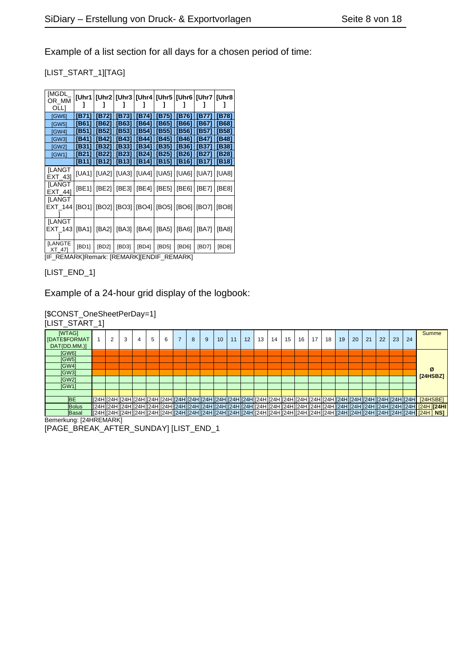Example of a list section for all days for a chosen period of time:

#### [LIST\_START\_1][TAG]

| [MGDL_<br>OR_MM           |       | [Uhr1   [Uhr2   [Uhr3   [Uhr4   [Uhr5   [Uhr6   [Uhr7   [Uhr8 |                                               |               |       |                |               |       |
|---------------------------|-------|---------------------------------------------------------------|-----------------------------------------------|---------------|-------|----------------|---------------|-------|
| OLLI<br>[GW6]             | [B71] | [B72]                                                         | [B73]                                         | [B74]   [B75] |       | [ <b>B76</b> ] | [B77]         | [B78] |
| [GW5]                     | [B61] | [B62]                                                         | [ <b>B63</b> ]                                | [B64] [B65]   |       | [B66]   [B67]  |               | [B68] |
| [GW4]                     | [B51] | [B52]                                                         | [B53]   [B54]   [B55]                         |               |       | [B56] [B57]    |               | [B58] |
| [GW3]                     | [B41] | [B42]                                                         | [B43]                                         | [B44]   [B45] |       | [B46]          | [B47]         | [B48] |
| [GW2]                     | [B31] |                                                               | [B32]   [B33]   [B34]   [B35]                 |               |       | [B36]   [B37]  |               | [B38] |
| [GW1]                     | [B21] |                                                               | [B22]   [B23]   [B24]   [B25]                 |               |       |                | [B26]   [B27] | [B28] |
|                           | [B11] |                                                               | [B12]   [B13]   [B14]   [B15]                 |               |       | [B16]   [B17]  |               | [B18] |
| <b>[LANGT</b><br>EXT_431  |       | [UA1]   [UA2]   [UA3]   [UA4]   [UA5]   [UA6]   [UA7]   [UA8] |                                               |               |       |                |               |       |
| <b>[LANGT</b><br>EXT 441  | [BE1] |                                                               | [BE2]   [BE3]   [BE4]   [BE5]   [BE6]         |               |       |                | [BE7]         | [BE8] |
| <b>ILANGT</b><br>EXT_144  |       | [BO1] [BO2] [[BO3] [[BO4] [[BO5] [[BO6] [[BO7] [[BO8]         |                                               |               |       |                |               |       |
| <b>ILANGT</b><br>EXT_143  | [BA1] |                                                               | [BA2]   [BA3]   [BA4]   [BA5]   [BA6]   [BA7] |               |       |                |               | [BA8] |
| <b>ILANGTE</b><br>$XT_47$ | [BD1] | [BD2]                                                         | [BD3]                                         | [BD4]         | [BD5] | [BD6]          | [BD7]         | [BD8] |

[IF\_REMARK]Remark: [REMARK][ENDIF\_REMARK]

[LIST\_END\_1]

#### Example of a 24-hour grid display of the logbook:

[\$CONST\_OneSheetPerDay=1]

| [LIST_START_1]                      |   |   |   |   |   |   |   |    |    |    |    |    |    |    |    |    |    |    |    |    |    |    |          |
|-------------------------------------|---|---|---|---|---|---|---|----|----|----|----|----|----|----|----|----|----|----|----|----|----|----|----------|
| [WTAG]<br>[DATE\$FORMAT]            | 2 | 3 | 4 | 5 | 6 | 8 | 9 | 10 | 11 | 12 | 13 | 14 | 15 | 16 | 17 | 18 | 19 | 20 | 21 | 22 | 23 | 24 | Summe    |
| DAT(DD.MM.)]                        |   |   |   |   |   |   |   |    |    |    |    |    |    |    |    |    |    |    |    |    |    |    |          |
| <b>IGW61</b>                        |   |   |   |   |   |   |   |    |    |    |    |    |    |    |    |    |    |    |    |    |    |    |          |
| <b>[GW5]</b>                        |   |   |   |   |   |   |   |    |    |    |    |    |    |    |    |    |    |    |    |    |    |    |          |
| <b>[GW4]</b>                        |   |   |   |   |   |   |   |    |    |    |    |    |    |    |    |    |    |    |    |    |    |    |          |
| [GW3]                               |   |   |   |   |   |   |   |    |    |    |    |    |    |    |    |    |    |    |    |    |    |    | ø        |
| <b>[GW2]</b>                        |   |   |   |   |   |   |   |    |    |    |    |    |    |    |    |    |    |    |    |    |    |    | [24HSBZ] |
| [GW1]                               |   |   |   |   |   |   |   |    |    |    |    |    |    |    |    |    |    |    |    |    |    |    |          |
|                                     |   |   |   |   |   |   |   |    |    |    |    |    |    |    |    |    |    |    |    |    |    |    |          |
| <b>BE</b>                           |   |   |   |   |   |   |   |    |    |    |    |    |    |    |    |    |    |    |    |    |    |    |          |
| <b>Bolus</b>                        |   |   |   |   |   |   |   |    |    |    |    |    |    |    |    |    |    |    |    |    |    |    |          |
| Basal                               |   |   |   |   |   |   |   |    |    |    |    |    |    |    |    |    |    |    |    |    |    |    |          |
| Bemerkung: [24HREMARK]              |   |   |   |   |   |   |   |    |    |    |    |    |    |    |    |    |    |    |    |    |    |    |          |
| IDACE BDEAK AFTED CUNDAVILUST END 1 |   |   |   |   |   |   |   |    |    |    |    |    |    |    |    |    |    |    |    |    |    |    |          |

A] E, .<br>D  $\mathbf{S}$ A]  $\sqrt{1}$  $\overline{1}$  $\overline{\phantom{a}}$ A] [PAGE\_BREAK\_AFTER\_SUNDAY] [LIST\_END\_1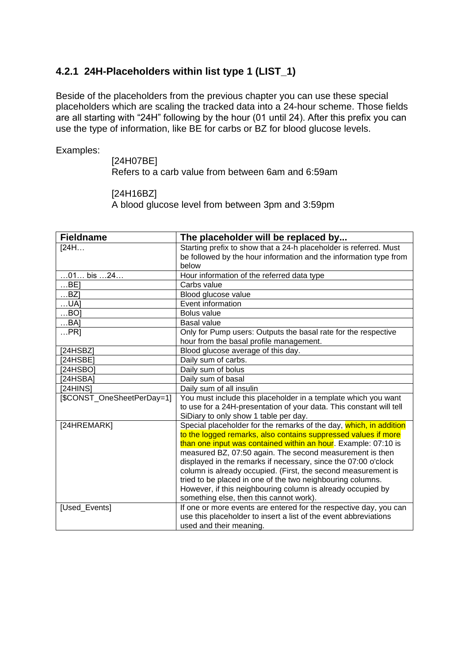#### <span id="page-8-0"></span>**4.2.1 24H-Placeholders within list type 1 (LIST\_1)**

Beside of the placeholders from the previous chapter you can use these special placeholders which are scaling the tracked data into a 24-hour scheme. Those fields are all starting with "24H" following by the hour (01 until 24). After this prefix you can use the type of information, like BE for carbs or BZ for blood glucose levels.

Examples:

[24H07BE] Refers to a carb value from between 6am and 6:59am

[24H16BZ]

A blood glucose level from between 3pm and 3:59pm

| <b>Fieldname</b>           | The placeholder will be replaced by                                 |  |  |  |  |  |
|----------------------------|---------------------------------------------------------------------|--|--|--|--|--|
| [24H]                      | Starting prefix to show that a 24-h placeholder is referred. Must   |  |  |  |  |  |
|                            | be followed by the hour information and the information type from   |  |  |  |  |  |
|                            | below                                                               |  |  |  |  |  |
| $01$ bis $24$              | Hour information of the referred data type                          |  |  |  |  |  |
| $$ BE]                     | Carbs value                                                         |  |  |  |  |  |
| $$ BZ]                     | Blood glucose value                                                 |  |  |  |  |  |
| $$ UA]                     | Event information                                                   |  |  |  |  |  |
| BO                         | <b>Bolus value</b>                                                  |  |  |  |  |  |
| BA]                        | <b>Basal value</b>                                                  |  |  |  |  |  |
| PR                         | Only for Pump users: Outputs the basal rate for the respective      |  |  |  |  |  |
|                            | hour from the basal profile management.                             |  |  |  |  |  |
| [24HSBZ]                   | Blood glucose average of this day.                                  |  |  |  |  |  |
| [24HSBE]                   | Daily sum of carbs.                                                 |  |  |  |  |  |
| [24HSBO]                   | Daily sum of bolus                                                  |  |  |  |  |  |
| [24HSBA]                   | Daily sum of basal                                                  |  |  |  |  |  |
| [24HINS]                   | Daily sum of all insulin                                            |  |  |  |  |  |
| [\$CONST_OneSheetPerDay=1] | You must include this placeholder in a template which you want      |  |  |  |  |  |
|                            | to use for a 24H-presentation of your data. This constant will tell |  |  |  |  |  |
|                            | SiDiary to only show 1 table per day.                               |  |  |  |  |  |
| [24HREMARK]                | Special placeholder for the remarks of the day, which, in addition  |  |  |  |  |  |
|                            | to the logged remarks, also contains suppressed values if more      |  |  |  |  |  |
|                            | than one input was contained within an hour. Example: 07:10 is      |  |  |  |  |  |
|                            | measured BZ, 07:50 again. The second measurement is then            |  |  |  |  |  |
|                            | displayed in the remarks if necessary, since the 07:00 o'clock      |  |  |  |  |  |
|                            | column is already occupied. (First, the second measurement is       |  |  |  |  |  |
|                            | tried to be placed in one of the two neighbouring columns.          |  |  |  |  |  |
|                            | However, if this neighbouring column is already occupied by         |  |  |  |  |  |
|                            | something else, then this cannot work).                             |  |  |  |  |  |
| [Used_Events]              | If one or more events are entered for the respective day, you can   |  |  |  |  |  |
|                            | use this placeholder to insert a list of the event abbreviations    |  |  |  |  |  |
|                            | used and their meaning.                                             |  |  |  |  |  |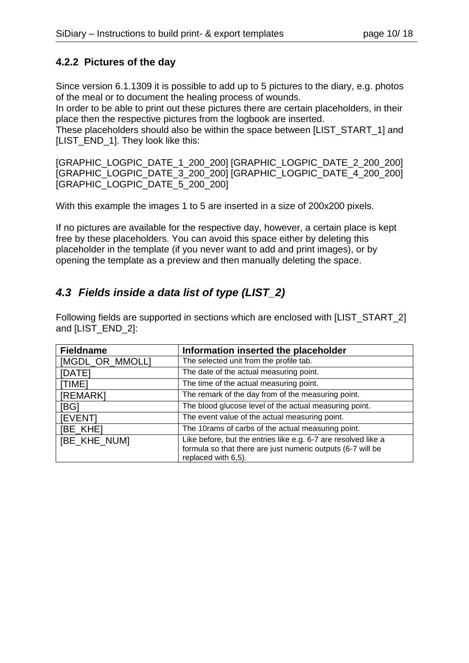#### <span id="page-9-0"></span>**4.2.2 Pictures of the day**

Since version 6.1.1309 it is possible to add up to 5 pictures to the diary, e.g. photos of the meal or to document the healing process of wounds.

In order to be able to print out these pictures there are certain placeholders, in their place then the respective pictures from the logbook are inserted.

These placeholders should also be within the space between [LIST\_START\_1] and [LIST\_END\_1]. They look like this:

[GRAPHIC\_LOGPIC\_DATE\_1\_200\_200] [GRAPHIC\_LOGPIC\_DATE\_2\_200\_200] [GRAPHIC\_LOGPIC\_DATE\_3\_200\_200] [GRAPHIC\_LOGPIC\_DATE\_4\_200\_200] [GRAPHIC\_LOGPIC\_DATE\_5\_200\_200]

With this example the images 1 to 5 are inserted in a size of 200x200 pixels.

If no pictures are available for the respective day, however, a certain place is kept free by these placeholders. You can avoid this space either by deleting this placeholder in the template (if you never want to add and print images), or by opening the template as a preview and then manually deleting the space.

#### <span id="page-9-1"></span>*4.3 Fields inside a data list of type (LIST\_2)*

Following fields are supported in sections which are enclosed with [LIST\_START\_2] and [LIST\_END\_2]:

| <b>Fieldname</b> | Information inserted the placeholder                           |  |  |  |  |  |  |
|------------------|----------------------------------------------------------------|--|--|--|--|--|--|
| [MGDL_OR_MMOLL]  | The selected unit from the profile tab.                        |  |  |  |  |  |  |
| [DATE]           | The date of the actual measuring point.                        |  |  |  |  |  |  |
| [TIME]           | The time of the actual measuring point.                        |  |  |  |  |  |  |
| [REMARK]         | The remark of the day from of the measuring point.             |  |  |  |  |  |  |
| [BG]             | The blood glucose level of the actual measuring point.         |  |  |  |  |  |  |
| <b>IEVENTI</b>   | The event value of the actual measuring point.                 |  |  |  |  |  |  |
| [BE_KHE]         | The 10rams of carbs of the actual measuring point.             |  |  |  |  |  |  |
| [BE_KHE_NUM]     | Like before, but the entries like e.g. 6-7 are resolved like a |  |  |  |  |  |  |
|                  | formula so that there are just numeric outputs (6-7 will be    |  |  |  |  |  |  |
|                  | replaced with 6,5).                                            |  |  |  |  |  |  |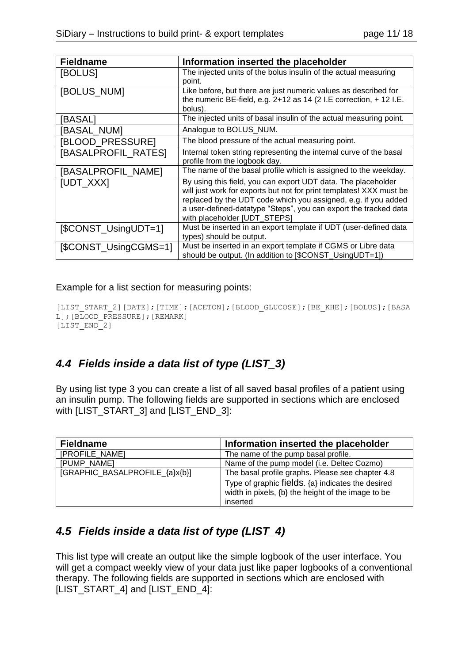| <b>Fieldname</b>      | Information inserted the placeholder                                                                                                                                                                                                                                                                       |
|-----------------------|------------------------------------------------------------------------------------------------------------------------------------------------------------------------------------------------------------------------------------------------------------------------------------------------------------|
| [BOLUS]               | The injected units of the bolus insulin of the actual measuring<br>point.                                                                                                                                                                                                                                  |
| [BOLUS_NUM]           | Like before, but there are just numeric values as described for<br>the numeric BE-field, e.g. $2+12$ as 14 (2 I.E correction, $+12$ I.E.<br>bolus).                                                                                                                                                        |
| [BASAL]               | The injected units of basal insulin of the actual measuring point.                                                                                                                                                                                                                                         |
| BASAL_NUM]            | Analogue to BOLUS_NUM.                                                                                                                                                                                                                                                                                     |
| BLOOD_PRESSURE]       | The blood pressure of the actual measuring point.                                                                                                                                                                                                                                                          |
| [BASALPROFIL_RATES]   | Internal token string representing the internal curve of the basal<br>profile from the logbook day.                                                                                                                                                                                                        |
| [BASALPROFIL NAME]    | The name of the basal profile which is assigned to the weekday.                                                                                                                                                                                                                                            |
| [UDT_XXX]             | By using this field, you can export UDT data. The placeholder<br>will just work for exports but not for print templates! XXX must be<br>replaced by the UDT code which you assigned, e.g. if you added<br>a user-defined-datatype "Steps", you can export the tracked data<br>with placeholder [UDT_STEPS] |
| [\$CONST_UsingUDT=1]  | Must be inserted in an export template if UDT (user-defined data<br>types) should be output.                                                                                                                                                                                                               |
| [\$CONST_UsingCGMS=1] | Must be inserted in an export template if CGMS or Libre data<br>should be output. (In addition to [\$CONST_UsingUDT=1])                                                                                                                                                                                    |

Example for a list section for measuring points:

```
[LIST START 2][DATE];[TIME];[ACETON];[BLOOD GLUCOSE];[BE KHE];[BOLUS];[BASA
L]; [BLOOD_PRESSURE]; [REMARK]
[LIST_END<sup>-2</sup>]
```
#### <span id="page-10-0"></span>*4.4 Fields inside a data list of type (LIST\_3)*

By using list type 3 you can create a list of all saved basal profiles of a patient using an insulin pump. The following fields are supported in sections which are enclosed with [LIST\_START\_3] and [LIST\_END\_3]:

| <b>Fieldname</b>               | Information inserted the placeholder               |
|--------------------------------|----------------------------------------------------|
| [PROFILE_NAME]                 | The name of the pump basal profile.                |
| [PUMP NAME]                    | Name of the pump model (i.e. Deltec Cozmo)         |
| [GRAPHIC_BASALPROFILE_{a}x{b}] | The basal profile graphs. Please see chapter 4.8   |
|                                | Type of graphic fields. {a} indicates the desired  |
|                                | width in pixels, {b} the height of the image to be |
|                                | inserted                                           |

#### <span id="page-10-1"></span>*4.5 Fields inside a data list of type (LIST\_4)*

This list type will create an output like the simple logbook of the user interface. You will get a compact weekly view of your data just like paper logbooks of a conventional therapy. The following fields are supported in sections which are enclosed with [LIST\_START\_4] and [LIST\_END\_4]: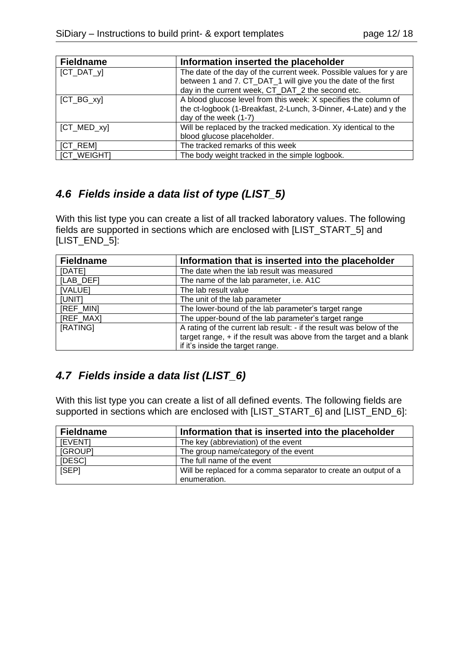| <b>Fieldname</b>   | Information inserted the placeholder                               |
|--------------------|--------------------------------------------------------------------|
| $[CT_DAT_y]$       | The date of the day of the current week. Possible values for y are |
|                    | between 1 and 7. CT_DAT_1 will give you the date of the first      |
|                    | day in the current week, CT_DAT_2 the second etc.                  |
| $[CT_BG_xy]$       | A blood glucose level from this week: X specifies the column of    |
|                    | the ct-logbook (1-Breakfast, 2-Lunch, 3-Dinner, 4-Late) and y the  |
|                    | day of the week (1-7)                                              |
| $[CT_MED_xy]$      | Will be replaced by the tracked medication. Xy identical to the    |
|                    | blood glucose placeholder.                                         |
| [CT_REM]           | The tracked remarks of this week                                   |
| <b>ICT WEIGHTI</b> | The body weight tracked in the simple logbook.                     |

#### <span id="page-11-0"></span>*4.6 Fields inside a data list of type (LIST\_5)*

With this list type you can create a list of all tracked laboratory values. The following fields are supported in sections which are enclosed with [LIST\_START\_5] and [LIST\_END\_5]:

| <b>Fieldname</b> | Information that is inserted into the placeholder                                                                                                                                 |  |  |
|------------------|-----------------------------------------------------------------------------------------------------------------------------------------------------------------------------------|--|--|
| [DATE]           | The date when the lab result was measured                                                                                                                                         |  |  |
| [LAB_DEF]        | The name of the lab parameter, i.e. A1C                                                                                                                                           |  |  |
| [VALUE]          | The lab result value                                                                                                                                                              |  |  |
| [UNIT]           | The unit of the lab parameter                                                                                                                                                     |  |  |
| [REF_MIN]        | The lower-bound of the lab parameter's target range                                                                                                                               |  |  |
| [REF_MAX]        | The upper-bound of the lab parameter's target range                                                                                                                               |  |  |
| [RATING]         | A rating of the current lab result: - if the result was below of the<br>target range, $+$ if the result was above from the target and a blank<br>if it's inside the target range. |  |  |

#### <span id="page-11-1"></span>*4.7 Fields inside a data list (LIST\_6)*

With this list type you can create a list of all defined events. The following fields are supported in sections which are enclosed with [LIST\_START\_6] and [LIST\_END\_6]:

<span id="page-11-2"></span>

| <b>Fieldname</b> | Information that is inserted into the placeholder                               |
|------------------|---------------------------------------------------------------------------------|
| [EVENT]          | The key (abbreviation) of the event                                             |
| [GROUP]          | The group name/category of the event                                            |
| [DESC]           | The full name of the event                                                      |
| [SEP]            | Will be replaced for a comma separator to create an output of a<br>enumeration. |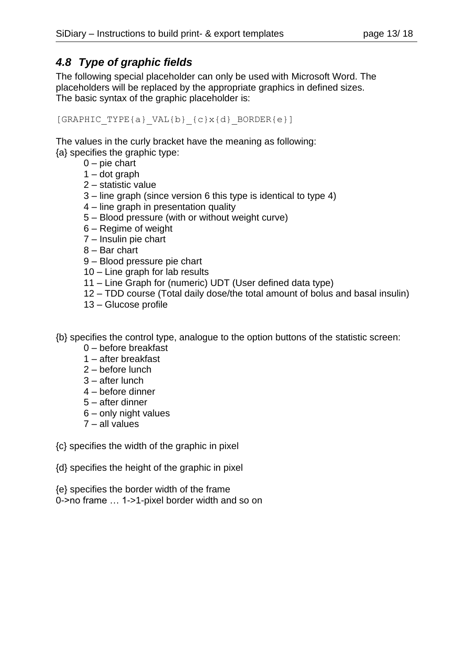#### <span id="page-12-0"></span>*4.8 Type of graphic fields*

The following special placeholder can only be used with Microsoft Word. The placeholders will be replaced by the appropriate graphics in defined sizes. The basic syntax of the graphic placeholder is:

[GRAPHIC TYPE{a} VAL{b}  ${c}x{d}$  BORDER{e}]

The values in the curly bracket have the meaning as following: {a} specifies the graphic type:

- $0$  pie chart
- $1 -$  dot graph
- 2 statistic value
- 3 line graph (since version 6 this type is identical to type 4)
- 4 line graph in presentation quality
- 5 Blood pressure (with or without weight curve)
- 6 Regime of weight
- 7 Insulin pie chart
- 8 Bar chart
- 9 Blood pressure pie chart
- 10 Line graph for lab results
- 11 Line Graph for (numeric) UDT (User defined data type)
- 12 TDD course (Total daily dose/the total amount of bolus and basal insulin)
- 13 Glucose profile

{b} specifies the control type, analogue to the option buttons of the statistic screen:

- 0 before breakfast
- 1 after breakfast
- 2 before lunch
- 3 after lunch
- 4 before dinner
- 5 after dinner
- 6 only night values
- 7 all values
- {c} specifies the width of the graphic in pixel
- {d} specifies the height of the graphic in pixel
- {e} specifies the border width of the frame
- 0->no frame … 1->1-pixel border width and so on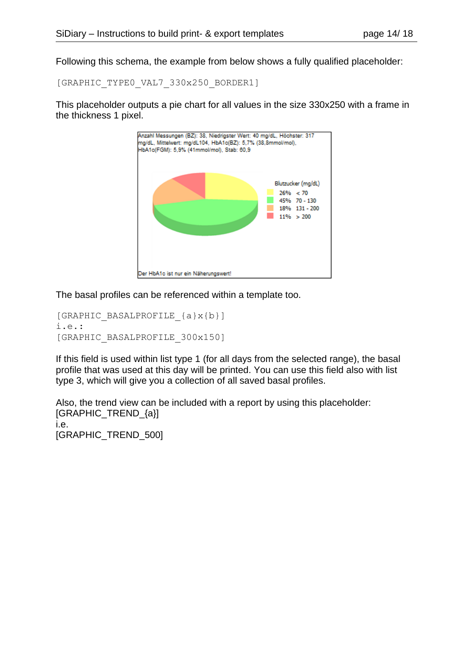Following this schema, the example from below shows a fully qualified placeholder:

[GRAPHIC\_TYPE0\_VAL7\_330x250\_BORDER1]

This placeholder outputs a pie chart for all values in the size 330x250 with a frame in the thickness 1 pixel.



The basal profiles can be referenced within a template too.

```
[GRAPHIC_BASALPROFILE_{a}x{b}]
i.e.:
[GRAPHIC_BASALPROFILE_300x150]
```
If this field is used within list type 1 (for all days from the selected range), the basal profile that was used at this day will be printed. You can use this field also with list type 3, which will give you a collection of all saved basal profiles.

Also, the trend view can be included with a report by using this placeholder: [GRAPHIC\_TREND\_{a}] i.e. [GRAPHIC\_TREND\_500]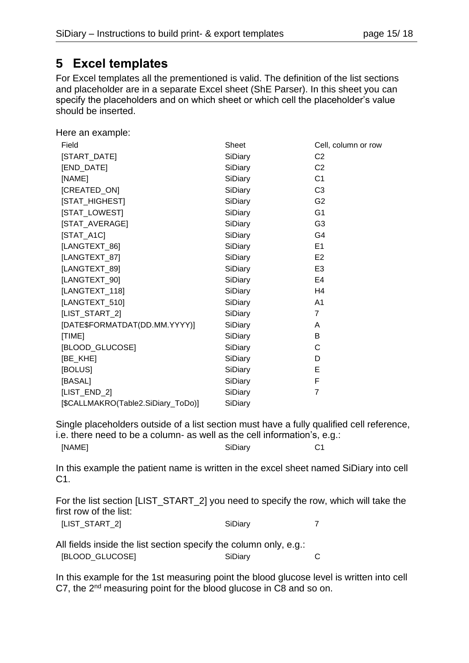## <span id="page-14-0"></span>**5 Excel templates**

For Excel templates all the prementioned is valid. The definition of the list sections and placeholder are in a separate Excel sheet (ShE Parser). In this sheet you can specify the placeholders and on which sheet or which cell the placeholder's value should be inserted.

Here an example:

| Field                              | Sheet   | Cell, column or row |
|------------------------------------|---------|---------------------|
| [START_DATE]                       | SiDiary | C <sub>2</sub>      |
| [END_DATE]                         | SiDiary | C <sub>2</sub>      |
| [NAME]                             | SiDiary | C <sub>1</sub>      |
| [CREATED_ON]                       | SiDiary | C <sub>3</sub>      |
| [STAT_HIGHEST]                     | SiDiary | G <sub>2</sub>      |
| [STAT_LOWEST]                      | SiDiary | G <sub>1</sub>      |
| [STAT_AVERAGE]                     | SiDiary | G <sub>3</sub>      |
| $[STAT_A1C]$                       | SiDiary | G4                  |
| [LANGTEXT_86]                      | SiDiary | E <sub>1</sub>      |
| [LANGTEXT_87]                      | SiDiary | E <sub>2</sub>      |
| [LANGTEXT_89]                      | SiDiary | E <sub>3</sub>      |
| [LANGTEXT_90]                      | SiDiary | E4                  |
| [LANGTEXT_118]                     | SiDiary | H4                  |
| [LANGTEXT_510]                     | SiDiary | A <sub>1</sub>      |
| [LIST_START_2]                     | SiDiary | $\overline{7}$      |
| [DATE\$FORMATDAT(DD.MM.YYYY)]      | SiDiary | A                   |
| [TIME]                             | SiDiary | В                   |
| [BLOOD_GLUCOSE]                    | SiDiary | $\mathsf{C}$        |
| [BE_KHE]                           | SiDiary | D                   |
| [BOLUS]                            | SiDiary | E                   |
| [BASAL]                            | SiDiary | F                   |
| [LIST_END_2]                       | SiDiary | $\overline{7}$      |
| [\$CALLMAKRO(Table2.SiDiary_ToDo)] | SiDiary |                     |

Single placeholders outside of a list section must have a fully qualified cell reference, i.e. there need to be a column- as well as the cell information's, e.g.: [NAME] SiDiary C1

In this example the patient name is written in the excel sheet named SiDiary into cell C1.

For the list section [LIST\_START\_2] you need to specify the row, which will take the first row of the list:

All fields inside the list section specify the column only, e.g.: [BLOOD\_GLUCOSE] SiDiary C

In this example for the 1st measuring point the blood glucose level is written into cell C7, the 2nd measuring point for the blood glucose in C8 and so on.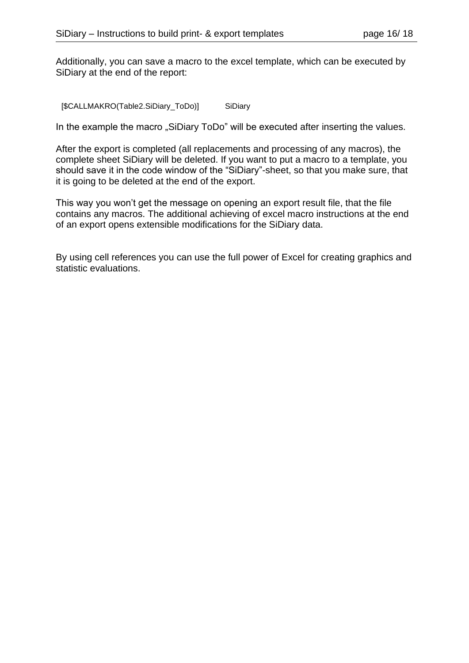Additionally, you can save a macro to the excel template, which can be executed by SiDiary at the end of the report:

[\$CALLMAKRO(Table2.SiDiary\_ToDo)] SiDiary

In the example the macro "SiDiary ToDo" will be executed after inserting the values.

After the export is completed (all replacements and processing of any macros), the complete sheet SiDiary will be deleted. If you want to put a macro to a template, you should save it in the code window of the "SiDiary"-sheet, so that you make sure, that it is going to be deleted at the end of the export.

This way you won't get the message on opening an export result file, that the file contains any macros. The additional achieving of excel macro instructions at the end of an export opens extensible modifications for the SiDiary data.

By using cell references you can use the full power of Excel for creating graphics and statistic evaluations.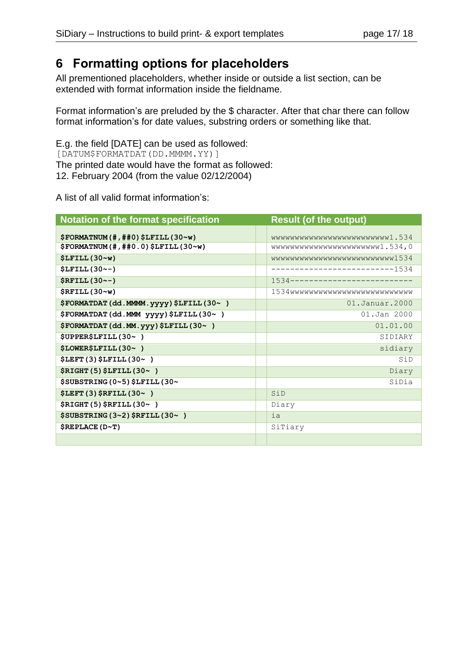## <span id="page-16-0"></span>**6 Formatting options for placeholders**

All prementioned placeholders, whether inside or outside a list section, can be extended with format information inside the fieldname.

Format information's are preluded by the \$ character. After that char there can follow format information's for date values, substring orders or something like that.

E.g. the field [DATE] can be used as followed: [DATUM\$FORMATDAT(DD.MMMM.YY)] The printed date would have the format as followed: 12. February 2004 (from the value 02/12/2004)

A list of all valid format information's:

| Notation of the format specification       |  | <b>Result (of the output)</b> |  |
|--------------------------------------------|--|-------------------------------|--|
| \$FORMATION (# , ##0) \$LFTLL (30~w)       |  | wwwwwwwwwwwwwwwwwwwwww1.534   |  |
| \$FORMATION (# , ##0.0) \$LFTLL (30~w)     |  | wwwwwwwwwwwwwwwwwwwi.534,0    |  |
| \$LFILL(30~w)                              |  | wwwwwwwwwwwwwwwwwwwwwww1534   |  |
| <b>\$LFILL(30~-)</b>                       |  | -------------------------1534 |  |
| $$RFILL(30--)$                             |  | 1534------------------------- |  |
| $$RFILL(30\sim w)$                         |  | 1534wwwwwwwwwwwwwwwwwwwwwwww  |  |
| \$FORMATDAT (dd. MMMM. yyyy) \$LFILL (30~) |  | 01.Januar.2000                |  |
| \$FORMATDAT (dd.MMM yyyy) \$LFILL (30~)    |  | 01.Jan 2000                   |  |
| \$FORMATDAT (dd.MM.yyy) \$LFILL (30~)      |  | 01.01.00                      |  |
| \$UPPER\$LFTLL (30~)                       |  | SIDIARY                       |  |
| \$LOWER\$LFILL(30~)                        |  | sidiary                       |  |
| $$LEFT(3)$$ $$LFILL(30~)$                  |  | SiD                           |  |
| \$RIGHT (5) \$LFILL (30~)                  |  | Diary                         |  |
| \$SUBSTRING (0~5) \$LFILL (30~             |  | SiDia                         |  |
| $$LEFT(3)$$ \$RFILL $(30~)$                |  | SiD                           |  |
| \$RIGHT (5) \$RFILL (30~)                  |  | Diary                         |  |
| $$SUBSTRING (3~2)$ $$RFILL (30~)$          |  | ia                            |  |
| \$REPLACE(D~T)                             |  | SiTiary                       |  |
|                                            |  |                               |  |